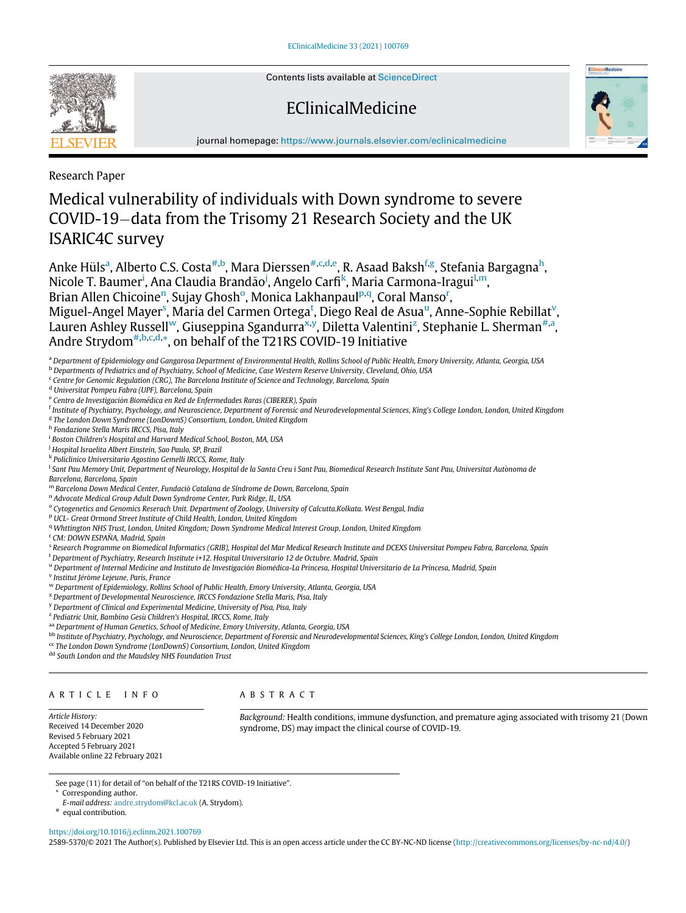Contents lists available at ScienceDirect

# EClinicalMedicine



journal homepage: https://www.journals.elsevier.com/eclinicalmedicine

Research Paper

# Medical vulnerability of individuals with Down syndrome to severe COVID-19-data from the Trisomy 21 Research Society and the UK ISARIC4C survey

Anke Hüls<sup>a</sup>, Alberto C.S. Costa<sup>#,b</sup>, Mara Dierssen<sup>#,c,d,e</sup>, R. Asaad Baksh<sup>f,g</sup>, Stefania Bargagna<sup>h</sup>, Nicole T. Baumer<sup>i</sup>, Ana Claudia Brandão<sup>j</sup>, Angelo Carfi<sup>k</sup>, Maria Carmona-Iragui<sup>l,m</sup>, Brian Allen Chicoine<sup>n</sup>, Sujay Ghosh<sup>o</sup>, Monica Lakhanpaul<sup>p,q</sup>, Coral Manso<sup>r</sup>, Miguel-Angel Mayer<sup>s</sup>, Maria del Carmen Ortega<sup>t</sup>, Diego Real de Asua<sup>u</sup>, Anne-Sophie Rebillat<sup>v</sup>, Lauren Ashley Russell<sup>w</sup>, Giuseppina Sgandurra<sup>x,y</sup>, Diletta Valentini<sup>z</sup>, Stephanie L. Sherman<sup>#,a</sup>, Andre Strydom<sup>#,b,c,d,\*</sup>, on behalf of the T21RS COVID-19 Initiative

<sup>b</sup> Departments of Pediatrics and of Psychiatry, School of Medicine, Case Western Reserve University, Cleveland, Ohio, USA

<sup>c</sup> Centre for Genomic Regulation (CRG), The Barcelona Institute of Science and Technology, Barcelona, Spain

<sup>d</sup> Universitat Pompeu Fabra (UPF), Barcelona, Spain

- <sup>f</sup> Institute of Psychiatry, Psychology, and Neuroscience, Department of Forensic and Neurodevelopmental Sciences, King's College London, London, United Kingdom
- <sup>g</sup> The London Down Syndrome (LonDownS) Consortium, London, United Kingdom
- <sup>h</sup> Fondazione Stella Maris IRCCS, Pisa, Italy
- <sup>i</sup> Boston Children's Hospital and Harvard Medical School, Boston, MA, USA
- <sup>j</sup> Hospital Israelita Albert Einstein, Sao Paulo, SP, Brazil
- k Policlinico Universitario Agostino Gemelli IRCCS, Rome, Italy
- <sup>1</sup> Sant Pau Memory Unit, Department of Neurology, Hospital de la Santa Creu i Sant Pau, Biomedical Research Institute Sant Pau, Universitat Autònoma de Barcelona, Barcelona, Spain
- <sup>m</sup> Barcelona Down Medical Center, Fundació Catalana de Síndrome de Down, Barcelona, Spain
- <sup>n</sup> Advocate Medical Group Adult Down Syndrome Center, Park Ridge, IL, USA
- <sup>o</sup> Cytogenetics and Genomics Reserach Unit. Department of Zoology, University of Calcutta.Kolkata. West Bengal, India
- <sup>p</sup> UCL- Great Ormond Street Institute of Child Health, London, United Kingdom
- <sup>q</sup> Whttington NHS Trust, London, United Kingdom; Down Syndrome Medical Interest Group, London, United Kingdom
- <sup>r</sup> CM: DOWN ESPAÑA, Madrid, Spain
- s Research Programme on Biomedical Informatics (GRIB), Hospital del Mar Medical Research Institute and DCEXS Universitat Pompeu Fabra, Barcelona, Spain
- <sup>t</sup> Department of Psychiatry, Research Institute i+12. Hospital Universitario 12 de Octubre. Madrid, Spain
- u Department of Internal Medicine and Instituto de Investigación Biomédica-La Princesa, Hospital Universitario de La Princesa, Madrid, Spain
- <sup>v</sup> Institut Jérôme Lejeune, Paris, France
- <sup>w</sup> Department of Epidemiology, Rollins School of Public Health, Emory University, Atlanta, Georgia, USA
- <sup>x</sup> Department of Developmental Neuroscience, IRCCS Fondazione Stella Maris, Pisa, Italy
- <sup>y</sup> Department of Clinical and Experimental Medicine, University of Pisa, Pisa, Italy
- <sup>z</sup> Pediatric Unit, Bambino Gesù Children's Hospital, IRCCS, Rome, Italy
- aa Department of Human Genetics, School of Medicine, Emory University, Atlanta, Georgia, USA
- bb Institute of Psychiatry, Psychology, and Neuroscience, Department of Forensic and Neurodevelopmental Sciences, King's College London, London, United Kingdom
- <sup>cc</sup> The London Down Syndrome (LonDownS) Consortium, London, United Kingdom

dd South London and the Maudsley NHS Foundation Trust

## ARTICLE INFO

## ABSTRACT

Article History: Received 14 December 2020 Revised 5 February 2021 Accepted 5 February 2021 Available online 22 February 2021

Background: Health conditions, immune dysfunction, and premature aging associated with trisomy 21 (Down syndrome, DS) may impact the clinical course of COVID-19.

See page (11) for detail of "on behalf of the T21RS COVID-19 Initiative".

- \* Corresponding author.
- E-mail address: andre.strydom@kcl.ac.uk (A. Strydom).

# equal contribution.

https://doi.org/10.1016/j.eclinm.2021.100769

2589-5370/© 2021 The Author(s). Published by Elsevier Ltd. This is an open access article under the CC BY-NC-ND license (http://creativecommons.org/licenses/by-nc-nd/4.0/)

a Department of Epidemiology and Gangarosa Department of Environmental Health, Rollins School of Public Health, Emory University, Atlanta, Georgia, USA

<sup>&</sup>lt;sup>e</sup> Centro de Investigación Biomédica en Red de Enfermedades Raras (CIBERER), Spain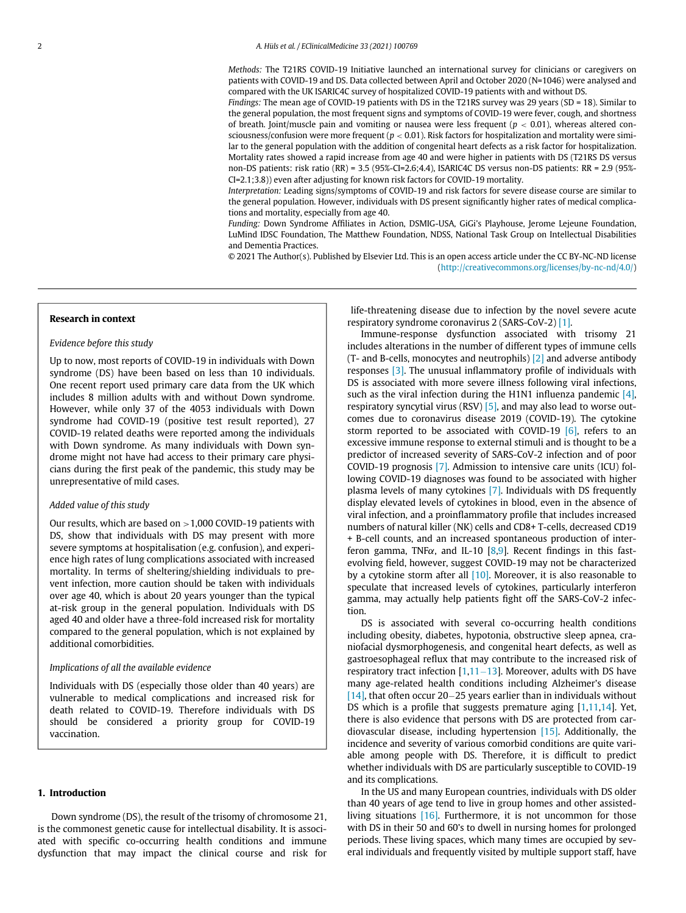Methods: The T21RS COVID-19 Initiative launched an international survey for clinicians or caregivers on patients with COVID-19 and DS. Data collected between April and October 2020 (N=1046) were analysed and compared with the UK ISARIC4C survey of hospitalized COVID-19 patients with and without DS.

Findings: The mean age of COVID-19 patients with DS in the T21RS survey was 29 years (SD = 18). Similar to the general population, the most frequent signs and symptoms of COVID-19 were fever, cough, and shortness of breath. Joint/muscle pain and vomiting or nausea were less frequent ( $p < 0.01$ ), whereas altered consciousness/confusion were more frequent ( $p < 0.01$ ). Risk factors for hospitalization and mortality were similar to the general population with the addition of congenital heart defects as a risk factor for hospitalization. Mortality rates showed a rapid increase from age 40 and were higher in patients with DS (T21RS DS versus non-DS patients: risk ratio (RR) = 3.5 (95%-CI=2.6;4.4), ISARIC4C DS versus non-DS patients: RR = 2.9 (95%- CI=2.1;3.8)) even after adjusting for known risk factors for COVID-19 mortality.

Interpretation: Leading signs/symptoms of COVID-19 and risk factors for severe disease course are similar to the general population. However, individuals with DS present significantly higher rates of medical complications and mortality, especially from age 40.

Funding: Down Syndrome Affiliates in Action, DSMIG-USA, GiGi's Playhouse, Jerome Lejeune Foundation, LuMind IDSC Foundation, The Matthew Foundation, NDSS, National Task Group on Intellectual Disabilities and Dementia Practices.

© 2021 The Author(s). Published by Elsevier Ltd. This is an open access article under the CC BY-NC-ND license (http://creativecommons.org/licenses/by-nc-nd/4.0/)

#### Research in context

## Evidence before this study

Up to now, most reports of COVID-19 in individuals with Down syndrome (DS) have been based on less than 10 individuals. One recent report used primary care data from the UK which includes 8 million adults with and without Down syndrome. However, while only 37 of the 4053 individuals with Down syndrome had COVID-19 (positive test result reported), 27 COVID-19 related deaths were reported among the individuals with Down syndrome. As many individuals with Down syndrome might not have had access to their primary care physicians during the first peak of the pandemic, this study may be unrepresentative of mild cases.

## Added value of this study

Our results, which are based on  $>1,000$  COVID-19 patients with DS, show that individuals with DS may present with more severe symptoms at hospitalisation (e.g. confusion), and experience high rates of lung complications associated with increased mortality. In terms of sheltering/shielding individuals to prevent infection, more caution should be taken with individuals over age 40, which is about 20 years younger than the typical at-risk group in the general population. Individuals with DS aged 40 and older have a three-fold increased risk for mortality compared to the general population, which is not explained by additional comorbidities.

## Implications of all the available evidence

Individuals with DS (especially those older than 40 years) are vulnerable to medical complications and increased risk for death related to COVID-19. Therefore individuals with DS should be considered a priority group for COVID-19 vaccination.

#### 1. Introduction

Down syndrome (DS), the result of the trisomy of chromosome 21, is the commonest genetic cause for intellectual disability. It is associated with specific co-occurring health conditions and immune dysfunction that may impact the clinical course and risk for

life-threatening disease due to infection by the novel severe acute respiratory syndrome coronavirus 2 (SARS-CoV-2) [1].

Immune-response dysfunction associated with trisomy 21 includes alterations in the number of different types of immune cells (T- and B-cells, monocytes and neutrophils)  $[2]$  and adverse antibody responses [3]. The unusual inflammatory profile of individuals with DS is associated with more severe illness following viral infections, such as the viral infection during the H1N1 influenza pandemic  $[4]$ , respiratory syncytial virus (RSV)  $[5]$ , and may also lead to worse outcomes due to coronavirus disease 2019 (COVID-19). The cytokine storm reported to be associated with COVID-19  $[6]$ , refers to an excessive immune response to external stimuli and is thought to be a predictor of increased severity of SARS-CoV-2 infection and of poor COVID-19 prognosis [7]. Admission to intensive care units (ICU) following COVID-19 diagnoses was found to be associated with higher plasma levels of many cytokines [7]. Individuals with DS frequently display elevated levels of cytokines in blood, even in the absence of viral infection, and a proinflammatory profile that includes increased numbers of natural killer (NK) cells and CD8+ T-cells, decreased CD19 + B-cell counts, and an increased spontaneous production of interferon gamma, TNF $\alpha$ , and IL-10 [8,9]. Recent findings in this fastevolving field, however, suggest COVID-19 may not be characterized by a cytokine storm after all  $[10]$ . Moreover, it is also reasonable to speculate that increased levels of cytokines, particularly interferon gamma, may actually help patients fight off the SARS-CoV-2 infection.

DS is associated with several co-occurring health conditions including obesity, diabetes, hypotonia, obstructive sleep apnea, craniofacial dysmorphogenesis, and congenital heart defects, as well as gastroesophageal reflux that may contribute to the increased risk of respiratory tract infection  $[1,11-13]$ . Moreover, adults with DS have many age-related health conditions including Alzheimer's disease  $[14]$ , that often occur 20–25 years earlier than in individuals without DS which is a profile that suggests premature aging [1,11,14]. Yet, there is also evidence that persons with DS are protected from cardiovascular disease, including hypertension [15]. Additionally, the incidence and severity of various comorbid conditions are quite variable among people with DS. Therefore, it is difficult to predict whether individuals with DS are particularly susceptible to COVID-19 and its complications.

In the US and many European countries, individuals with DS older than 40 years of age tend to live in group homes and other assistedliving situations [16]. Furthermore, it is not uncommon for those with DS in their 50 and 60's to dwell in nursing homes for prolonged periods. These living spaces, which many times are occupied by several individuals and frequently visited by multiple support staff, have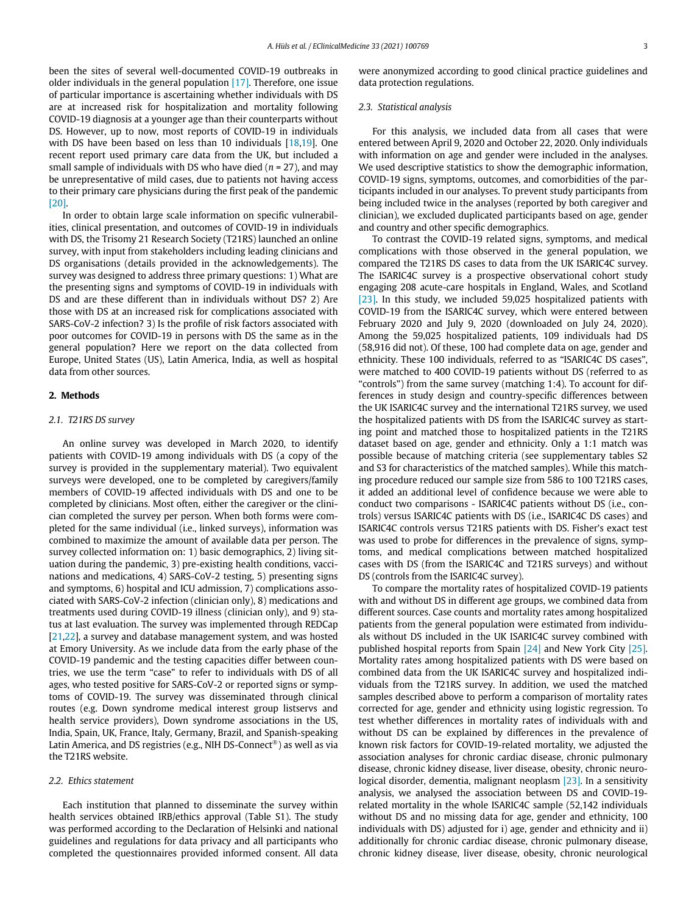been the sites of several well-documented COVID-19 outbreaks in older individuals in the general population [17]. Therefore, one issue of particular importance is ascertaining whether individuals with DS are at increased risk for hospitalization and mortality following COVID-19 diagnosis at a younger age than their counterparts without DS. However, up to now, most reports of COVID-19 in individuals with DS have been based on less than 10 individuals [18,19]. One recent report used primary care data from the UK, but included a small sample of individuals with DS who have died ( $n = 27$ ), and may be unrepresentative of mild cases, due to patients not having access to their primary care physicians during the first peak of the pandemic [20].

In order to obtain large scale information on specific vulnerabilities, clinical presentation, and outcomes of COVID-19 in individuals with DS, the Trisomy 21 Research Society (T21RS) launched an online survey, with input from stakeholders including leading clinicians and DS organisations (details provided in the acknowledgements). The survey was designed to address three primary questions: 1) What are the presenting signs and symptoms of COVID-19 in individuals with DS and are these different than in individuals without DS? 2) Are those with DS at an increased risk for complications associated with SARS-CoV-2 infection? 3) Is the profile of risk factors associated with poor outcomes for COVID-19 in persons with DS the same as in the general population? Here we report on the data collected from Europe, United States (US), Latin America, India, as well as hospital data from other sources.

## 2. Methods

## 2.1. T21RS DS survey

An online survey was developed in March 2020, to identify patients with COVID-19 among individuals with DS (a copy of the survey is provided in the supplementary material). Two equivalent surveys were developed, one to be completed by caregivers/family members of COVID-19 affected individuals with DS and one to be completed by clinicians. Most often, either the caregiver or the clinician completed the survey per person. When both forms were completed for the same individual (i.e., linked surveys), information was combined to maximize the amount of available data per person. The survey collected information on: 1) basic demographics, 2) living situation during the pandemic, 3) pre-existing health conditions, vaccinations and medications, 4) SARS-CoV-2 testing, 5) presenting signs and symptoms, 6) hospital and ICU admission, 7) complications associated with SARS-CoV-2 infection (clinician only), 8) medications and treatments used during COVID-19 illness (clinician only), and 9) status at last evaluation. The survey was implemented through REDCap [21,22], a survey and database management system, and was hosted at Emory University. As we include data from the early phase of the COVID-19 pandemic and the testing capacities differ between countries, we use the term "case" to refer to individuals with DS of all ages, who tested positive for SARS-CoV-2 or reported signs or symptoms of COVID-19. The survey was disseminated through clinical routes (e.g. Down syndrome medical interest group listservs and health service providers), Down syndrome associations in the US, India, Spain, UK, France, Italy, Germany, Brazil, and Spanish-speaking Latin America, and DS registries (e.g., NIH DS-Connect®) as well as via the T21RS website.

## 2.2. Ethics statement

Each institution that planned to disseminate the survey within health services obtained IRB/ethics approval (Table S1). The study was performed according to the Declaration of Helsinki and national guidelines and regulations for data privacy and all participants who completed the questionnaires provided informed consent. All data were anonymized according to good clinical practice guidelines and data protection regulations.

## 2.3. Statistical analysis

For this analysis, we included data from all cases that were entered between April 9, 2020 and October 22, 2020. Only individuals with information on age and gender were included in the analyses. We used descriptive statistics to show the demographic information, COVID-19 signs, symptoms, outcomes, and comorbidities of the participants included in our analyses. To prevent study participants from being included twice in the analyses (reported by both caregiver and clinician), we excluded duplicated participants based on age, gender and country and other specific demographics.

To contrast the COVID-19 related signs, symptoms, and medical complications with those observed in the general population, we compared the T21RS DS cases to data from the UK ISARIC4C survey. The ISARIC4C survey is a prospective observational cohort study engaging 208 acute-care hospitals in England, Wales, and Scotland [23]. In this study, we included 59,025 hospitalized patients with COVID-19 from the ISARIC4C survey, which were entered between February 2020 and July 9, 2020 (downloaded on July 24, 2020). Among the 59,025 hospitalized patients, 109 individuals had DS (58,916 did not). Of these, 100 had complete data on age, gender and ethnicity. These 100 individuals, referred to as "ISARIC4C DS cases", were matched to 400 COVID-19 patients without DS (referred to as "controls") from the same survey (matching 1:4). To account for differences in study design and country-specific differences between the UK ISARIC4C survey and the international T21RS survey, we used the hospitalized patients with DS from the ISARIC4C survey as starting point and matched those to hospitalized patients in the T21RS dataset based on age, gender and ethnicity. Only a 1:1 match was possible because of matching criteria (see supplementary tables S2 and S3 for characteristics of the matched samples). While this matching procedure reduced our sample size from 586 to 100 T21RS cases, it added an additional level of confidence because we were able to conduct two comparisons - ISARIC4C patients without DS (i.e., controls) versus ISARIC4C patients with DS (i.e., ISARIC4C DS cases) and ISARIC4C controls versus T21RS patients with DS. Fisher's exact test was used to probe for differences in the prevalence of signs, symptoms, and medical complications between matched hospitalized cases with DS (from the ISARIC4C and T21RS surveys) and without DS (controls from the ISARIC4C survey).

To compare the mortality rates of hospitalized COVID-19 patients with and without DS in different age groups, we combined data from different sources. Case counts and mortality rates among hospitalized patients from the general population were estimated from individuals without DS included in the UK ISARIC4C survey combined with published hospital reports from Spain [24] and New York City [25]. Mortality rates among hospitalized patients with DS were based on combined data from the UK ISARIC4C survey and hospitalized individuals from the T21RS survey. In addition, we used the matched samples described above to perform a comparison of mortality rates corrected for age, gender and ethnicity using logistic regression. To test whether differences in mortality rates of individuals with and without DS can be explained by differences in the prevalence of known risk factors for COVID-19-related mortality, we adjusted the association analyses for chronic cardiac disease, chronic pulmonary disease, chronic kidney disease, liver disease, obesity, chronic neurological disorder, dementia, malignant neoplasm [23]. In a sensitivity analysis, we analysed the association between DS and COVID-19 related mortality in the whole ISARIC4C sample (52,142 individuals without DS and no missing data for age, gender and ethnicity, 100 individuals with DS) adjusted for i) age, gender and ethnicity and ii) additionally for chronic cardiac disease, chronic pulmonary disease, chronic kidney disease, liver disease, obesity, chronic neurological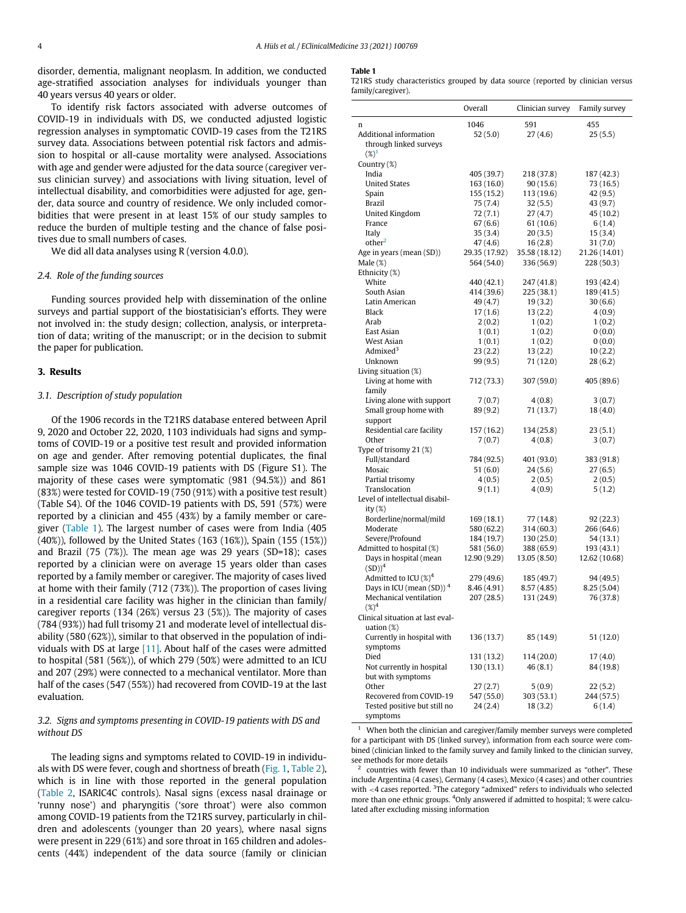disorder, dementia, malignant neoplasm. In addition, we conducted age-stratified association analyses for individuals younger than 40 years versus 40 years or older.

To identify risk factors associated with adverse outcomes of COVID-19 in individuals with DS, we conducted adjusted logistic regression analyses in symptomatic COVID-19 cases from the T21RS survey data. Associations between potential risk factors and admission to hospital or all-cause mortality were analysed. Associations with age and gender were adjusted for the data source (caregiver versus clinician survey) and associations with living situation, level of intellectual disability, and comorbidities were adjusted for age, gender, data source and country of residence. We only included comorbidities that were present in at least 15% of our study samples to reduce the burden of multiple testing and the chance of false positives due to small numbers of cases.

We did all data analyses using R (version 4.0.0).

## 2.4. Role of the funding sources

Funding sources provided help with dissemination of the online surveys and partial support of the biostatisician's efforts. They were not involved in: the study design; collection, analysis, or interpretation of data; writing of the manuscript; or in the decision to submit the paper for publication.

## 3. Results

## 3.1. Description of study population

Of the 1906 records in the T21RS database entered between April 9, 2020 and October 22, 2020, 1103 individuals had signs and symptoms of COVID-19 or a positive test result and provided information on age and gender. After removing potential duplicates, the final sample size was 1046 COVID-19 patients with DS (Figure S1). The majority of these cases were symptomatic (981 (94.5%)) and 861 (83%) were tested for COVID-19 (750 (91%) with a positive test result) (Table S4). Of the 1046 COVID-19 patients with DS, 591 (57%) were reported by a clinician and 455 (43%) by a family member or caregiver (Table 1). The largest number of cases were from India (405 (40%)), followed by the United States (163 (16%)), Spain (155 (15%)) and Brazil (75 (7%)). The mean age was 29 years (SD=18); cases reported by a clinician were on average 15 years older than cases reported by a family member or caregiver. The majority of cases lived at home with their family (712 (73%)). The proportion of cases living in a residential care facility was higher in the clinician than family/ caregiver reports (134 (26%) versus 23 (5%)). The majority of cases (784 (93%)) had full trisomy 21 and moderate level of intellectual disability (580 (62%)), similar to that observed in the population of individuals with DS at large [11]. About half of the cases were admitted to hospital (581 (56%)), of which 279 (50%) were admitted to an ICU and 207 (29%) were connected to a mechanical ventilator. More than half of the cases (547 (55%)) had recovered from COVID-19 at the last evaluation.

## 3.2. Signs and symptoms presenting in COVID-19 patients with DS and without DS

The leading signs and symptoms related to COVID-19 in individuals with DS were fever, cough and shortness of breath (Fig. 1, Table 2), which is in line with those reported in the general population (Table 2, ISARIC4C controls). Nasal signs (excess nasal drainage or 'runny nose') and pharyngitis ('sore throat') were also common among COVID-19 patients from the T21RS survey, particularly in children and adolescents (younger than 20 years), where nasal signs were present in 229 (61%) and sore throat in 165 children and adolescents (44%) independent of the data source (family or clinician

#### Table 1

T21RS study characteristics grouped by data source (reported by clinician versus family/caregiver).

|                                         | Overall                     | Clinician survey            | Family survey               |
|-----------------------------------------|-----------------------------|-----------------------------|-----------------------------|
| n                                       | 1046                        | 591                         | 455                         |
| Additional information                  | 52(5.0)                     | 27(4.6)                     | 25(5.5)                     |
| through linked surveys                  |                             |                             |                             |
| $(%)^1$                                 |                             |                             |                             |
| Country (%)                             |                             |                             |                             |
| India                                   | 405 (39.7)                  | 218 (37.8)                  | 187 (42.3)                  |
| <b>United States</b>                    | 163 (16.0)                  | 90(15.6)                    | 73 (16.5)                   |
| Spain                                   | 155 (15.2)                  | 113 (19.6)                  | 42 (9.5)                    |
| Brazil                                  | 75 (7.4)                    | 32 (5.5)                    | 43 (9.7)                    |
| United Kingdom                          | 72 (7.1)                    | 27 (4.7)                    | 45 (10.2)                   |
| France                                  | 67 (6.6)                    | 61 (10.6)                   | 6(1.4)                      |
| Italy<br>other <sup>2</sup>             | 35 (3.4)                    | 20(3.5)                     | 15(3.4)                     |
|                                         | 47 (4.6)                    | 16(2.8)                     | 31 (7.0)                    |
| Age in years (mean (SD))<br>Male $(\%)$ | 29.35 (17.92)<br>564 (54.0) | 35.58 (18.12)<br>336 (56.9) | 21.26 (14.01)<br>228 (50.3) |
| Ethnicity (%)                           |                             |                             |                             |
| White                                   | 440 (42.1)                  | 247 (41.8)                  | 193 (42.4)                  |
| South Asian                             | 414 (39.6)                  | 225 (38.1)                  | 189 (41.5)                  |
| Latin American                          | 49 (4.7)                    | 19(3.2)                     | 30(6.6)                     |
| Black                                   | 17(1.6)                     | 13(2.2)                     | 4(0.9)                      |
| Arab                                    | 2(0.2)                      | 1(0.2)                      | 1(0.2)                      |
| East Asian                              | 1(0.1)                      | 1(0.2)                      | 0(0.0)                      |
| West Asian                              | 1(0.1)                      | 1(0.2)                      | 0(0.0)                      |
| Admixed <sup>3</sup>                    | 23(2.2)                     | 13(2.2)                     | 10(2.2)                     |
| Unknown                                 | 99 (9.5)                    | 71 (12.0)                   | 28(6.2)                     |
| Living situation (%)                    |                             |                             |                             |
| Living at home with                     | 712 (73.3)                  | 307 (59.0)                  | 405 (89.6)                  |
| family                                  |                             |                             |                             |
| Living alone with support               | 7(0.7)                      | 4(0.8)                      | 3(0.7)                      |
| Small group home with                   | 89 (9.2)                    | 71 (13.7)                   | 18 (4.0)                    |
| support                                 |                             |                             |                             |
| Residential care facility               | 157 (16.2)                  | 134 (25.8)                  | 23(5.1)                     |
| Other                                   | 7(0.7)                      | 4(0.8)                      | 3(0.7)                      |
| Type of trisomy 21 (%)                  |                             |                             |                             |
| Full/standard<br>Mosaic                 | 784 (92.5)<br>51 (6.0)      | 401 (93.0)<br>24 (5.6)      | 383 (91.8)<br>27 (6.5)      |
| Partial trisomy                         | 4(0.5)                      | 2(0.5)                      | 2(0.5)                      |
| Translocation                           | 9(1.1)                      | 4(0.9)                      | 5(1.2)                      |
| Level of intellectual disabil-          |                             |                             |                             |
| ity $(\%)$                              |                             |                             |                             |
| Borderline/normal/mild                  | 169 (18.1)                  | 77 (14.8)                   | 92 (22.3)                   |
| Moderate                                | 580 (62.2)                  | 314 (60.3)                  | 266 (64.6)                  |
| Severe/Profound                         | 184 (19.7)                  | 130 (25.0)                  | 54 (13.1)                   |
| Admitted to hospital (%)                | 581 (56.0)                  | 388 (65.9)                  | 193 (43.1)                  |
| Days in hospital (mean                  | 12.90 (9.29)                | 13.05 (8.50)                | 12.62 (10.68)               |
| $(SD))^4$                               |                             |                             |                             |
| Admitted to ICU $(\%)^4$                | 279 (49.6)                  | 185 (49.7)                  | 94 (49.5)                   |
| Days in ICU (mean $(SD)$ ) <sup>4</sup> | 8.46 (4.91)                 | 8.57 (4.85)                 | 8.25 (5.04)                 |
| Mechanical ventilation                  | 207(28.5)                   | 131 (24.9)                  | 76 (37.8)                   |
| $(%)^4$                                 |                             |                             |                             |
| Clinical situation at last eval-        |                             |                             |                             |
| uation $(\%)$                           |                             |                             |                             |
| Currently in hospital with<br>symptoms  | 136 (13.7)                  | 85 (14.9)                   | 51 (12.0)                   |
| Died                                    |                             |                             |                             |
| Not currently in hospital               | 131 (13.2)<br>130 (13.1)    | 114 (20.0)<br>46 (8.1)      | 17(4.0)<br>84 (19.8)        |
| but with symptoms                       |                             |                             |                             |
| Other                                   | 27 (2.7)                    | 5 (0.9)                     | 22 (5.2)                    |
| Recovered from COVID-19                 | 547 (55.0)                  | 303 (53.1)                  | 244 (57.5)                  |
| Tested positive but still no            | 24 (2.4)                    | 18 (3.2)                    | 6(1.4)                      |
| symptoms                                |                             |                             |                             |

 $1$  When both the clinician and caregiver/family member surveys were completed for a participant with DS (linked survey), information from each source were combined (clinician linked to the family survey and family linked to the clinician survey, see methods for more details

2 countries with fewer than 10 individuals were summarized as "other". These include Argentina (4 cases), Germany (4 cases), Mexico (4 cases) and other countries with  $<$  4 cases reported.  $3$ The category "admixed" refers to individuals who selected more than one ethnic groups. <sup>4</sup>Only answered if admitted to hospital; % were calculated after excluding missing information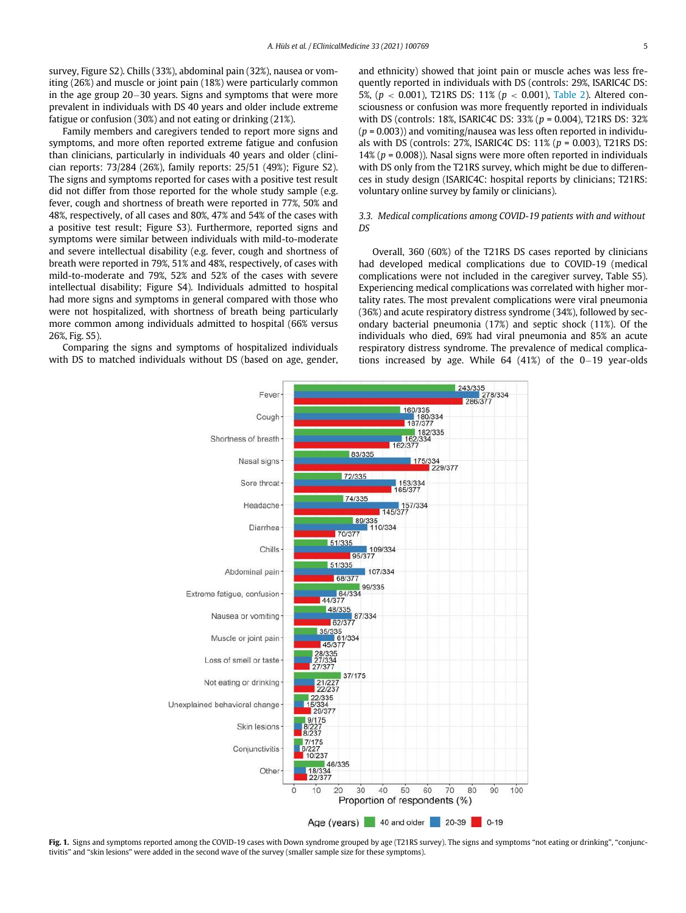survey, Figure S2). Chills (33%), abdominal pain (32%), nausea or vomiting (26%) and muscle or joint pain (18%) were particularly common in the age group  $20-30$  years. Signs and symptoms that were more prevalent in individuals with DS 40 years and older include extreme fatigue or confusion (30%) and not eating or drinking (21%).

Family members and caregivers tended to report more signs and symptoms, and more often reported extreme fatigue and confusion than clinicians, particularly in individuals 40 years and older (clinician reports: 73/284 (26%), family reports: 25/51 (49%); Figure S2). The signs and symptoms reported for cases with a positive test result did not differ from those reported for the whole study sample (e.g. fever, cough and shortness of breath were reported in 77%, 50% and 48%, respectively, of all cases and 80%, 47% and 54% of the cases with a positive test result; Figure S3). Furthermore, reported signs and symptoms were similar between individuals with mild-to-moderate and severe intellectual disability (e.g. fever, cough and shortness of breath were reported in 79%, 51% and 48%, respectively, of cases with mild-to-moderate and 79%, 52% and 52% of the cases with severe intellectual disability; Figure S4). Individuals admitted to hospital had more signs and symptoms in general compared with those who were not hospitalized, with shortness of breath being particularly more common among individuals admitted to hospital (66% versus 26%, Fig. S5).

Comparing the signs and symptoms of hospitalized individuals with DS to matched individuals without DS (based on age, gender, and ethnicity) showed that joint pain or muscle aches was less frequently reported in individuals with DS (controls: 29%, ISARIC4C DS: 5%, ( $p < 0.001$ ), T21RS DS: 11% ( $p < 0.001$ ), Table 2). Altered consciousness or confusion was more frequently reported in individuals with DS (controls: 18%, ISARIC4C DS: 33% (p = 0.004), T21RS DS: 32%  $(p = 0.003)$ ) and vomiting/nausea was less often reported in individuals with DS (controls:  $27\%$ , ISARIC4C DS:  $11\%$  ( $p = 0.003$ ), T21RS DS: 14% ( $p = 0.008$ )). Nasal signs were more often reported in individuals with DS only from the T21RS survey, which might be due to differences in study design (ISARIC4C: hospital reports by clinicians; T21RS: voluntary online survey by family or clinicians).

## 3.3. Medical complications among COVID-19 patients with and without  $DS$

Overall, 360 (60%) of the T21RS DS cases reported by clinicians had developed medical complications due to COVID-19 (medical complications were not included in the caregiver survey, Table S5). Experiencing medical complications was correlated with higher mortality rates. The most prevalent complications were viral pneumonia (36%) and acute respiratory distress syndrome (34%), followed by secondary bacterial pneumonia (17%) and septic shock (11%). Of the individuals who died, 69% had viral pneumonia and 85% an acute respiratory distress syndrome. The prevalence of medical complications increased by age. While  $64$  (41%) of the 0-19 year-olds



Fig. 1. Signs and symptoms reported among the COVID-19 cases with Down syndrome grouped by age (T21RS survey). The signs and symptoms "not eating or drinking", "conjunctivitis" and "skin lesions" were added in the second wave of the survey (smaller sample size for these symptoms).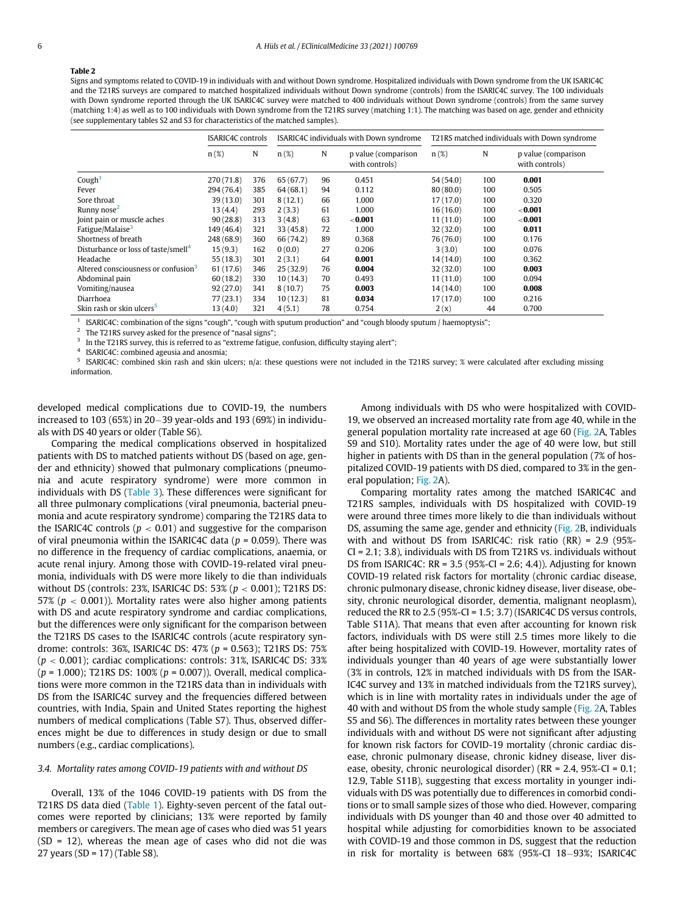## Table 2

Signs and symptoms related to COVID-19 in individuals with and without Down syndrome. Hospitalized individuals with Down syndrome from the UK ISARIC4C and the T21RS surveys are compared to matched hospitalized individuals without Down syndrome (controls) from the ISARIC4C survey. The 100 individuals with Down syndrome reported through the UK ISARIC4C survey were matched to 400 individuals without Down syndrome (controls) from the same survey (matching 1:4) as well as to 100 individuals with Down syndrome from the T21RS survey (matching 1:1). The matching was based on age, gender and ethnicity (see supplementary tables S2 and S3 for characteristics of the matched samples).

|                                                 | <b>ISARIC4C</b> controls |     | ISARIC4C individuals with Down syndrome |    |                                       | T21RS matched individuals with Down syndrome |     |                                       |
|-------------------------------------------------|--------------------------|-----|-----------------------------------------|----|---------------------------------------|----------------------------------------------|-----|---------------------------------------|
|                                                 | $n(\%)$                  | N   | $n(\%)$                                 | N  | p value (comparison<br>with controls) | $n(\%)$                                      | N   | p value (comparison<br>with controls) |
| Cough <sup>1</sup>                              | 270(71.8)                | 376 | 65(67.7)                                | 96 | 0.451                                 | 54(54.0)                                     | 100 | 0.001                                 |
| Fever                                           | 294 (76.4)               | 385 | 64(68.1)                                | 94 | 0.112                                 | 80(80.0)                                     | 100 | 0.505                                 |
| Sore throat                                     | 39(13.0)                 | 301 | 8(12.1)                                 | 66 | 1.000                                 | 17(17.0)                                     | 100 | 0.320                                 |
| Runny nose <sup>2</sup>                         | 13 (4.4)                 | 293 | 2(3.3)                                  | 61 | 1.000                                 | 16(16.0)                                     | 100 | ${<}0.001$                            |
| Joint pain or muscle aches                      | 90(28.8)                 | 313 | 3(4.8)                                  | 63 | $<$ 0.001                             | 11(11.0)                                     | 100 | ${<}0.001$                            |
| Fatigue/Malaise <sup>3</sup>                    | 149(46.4)                | 321 | 33(45.8)                                | 72 | 1.000                                 | 32(32.0)                                     | 100 | 0.011                                 |
| Shortness of breath                             | 248 (68.9)               | 360 | 66 (74.2)                               | 89 | 0.368                                 | 76 (76.0)                                    | 100 | 0.176                                 |
| Disturbance or loss of taste/smell <sup>4</sup> | 15(9.3)                  | 162 | 0(0.0)                                  | 27 | 0.206                                 | 3(3.0)                                       | 100 | 0.076                                 |
| Headache                                        | 55(18.3)                 | 301 | 2(3.1)                                  | 64 | 0.001                                 | 14(14.0)                                     | 100 | 0.362                                 |
| Altered consciousness or confusion <sup>3</sup> | 61 (17.6)                | 346 | 25(32.9)                                | 76 | 0.004                                 | 32(32.0)                                     | 100 | 0.003                                 |
| Abdominal pain                                  | 60(18.2)                 | 330 | 10(14.3)                                | 70 | 0.493                                 | 11(11.0)                                     | 100 | 0.094                                 |
| Vomiting/nausea                                 | 92(27.0)                 | 341 | 8(10.7)                                 | 75 | 0.003                                 | 14(14.0)                                     | 100 | 0.008                                 |
| Diarrhoea                                       | 77(23.1)                 | 334 | 10(12.3)                                | 81 | 0.034                                 | 17(17.0)                                     | 100 | 0.216                                 |
| Skin rash or skin ulcers <sup>5</sup>           | 13(4.0)                  | 321 | 4(5.1)                                  | 78 | 0.754                                 | 2(x)                                         | 44  | 0.700                                 |

1 ISARIC4C: combination of the signs "cough", "cough with sputum production" and "cough bloody sputum / haemoptysis";

2 The T21RS survey asked for the presence of "nasal signs";

3 In the T21RS survey, this is referred to as "extreme fatigue, confusion, difficulty staying alert";

4 ISARIC4C: combined ageusia and anosmia;

<sup>5</sup> ISARIC4C: combined skin rash and skin ulcers; n/a: these questions were not included in the T21RS survey; % were calculated after excluding missing information.

developed medical complications due to COVID-19, the numbers increased to  $103$  (65%) in  $20-39$  year-olds and  $193$  (69%) in individuals with DS 40 years or older (Table S6).

Comparing the medical complications observed in hospitalized patients with DS to matched patients without DS (based on age, gender and ethnicity) showed that pulmonary complications (pneumonia and acute respiratory syndrome) were more common in individuals with DS (Table 3). These differences were significant for all three pulmonary complications (viral pneumonia, bacterial pneumonia and acute respiratory syndrome) comparing the T21RS data to the ISARIC4C controls ( $p < 0.01$ ) and suggestive for the comparison of viral pneumonia within the ISARIC4C data ( $p = 0.059$ ). There was no difference in the frequency of cardiac complications, anaemia, or acute renal injury. Among those with COVID-19-related viral pneumonia, individuals with DS were more likely to die than individuals without DS (controls: 23%, ISARIC4C DS: 53% ( $p < 0.001$ ); T21RS DS: 57% ( $p < 0.001$ )). Mortality rates were also higher among patients with DS and acute respiratory syndrome and cardiac complications, but the differences were only significant for the comparison between the T21RS DS cases to the ISARIC4C controls (acute respiratory syndrome: controls: 36%, ISARIC4C DS: 47% (p = 0.563); T21RS DS: 75%  $(p < 0.001)$ ; cardiac complications: controls: 31%, ISARIC4C DS: 33%  $(p = 1.000)$ ; T21RS DS: 100%  $(p = 0.007)$ ). Overall, medical complications were more common in the T21RS data than in individuals with DS from the ISARIC4C survey and the frequencies differed between countries, with India, Spain and United States reporting the highest numbers of medical complications (Table S7). Thus, observed differences might be due to differences in study design or due to small numbers (e.g., cardiac complications).

## 3.4. Mortality rates among COVID-19 patients with and without DS

Overall, 13% of the 1046 COVID-19 patients with DS from the T21RS DS data died (Table 1). Eighty-seven percent of the fatal outcomes were reported by clinicians; 13% were reported by family members or caregivers. The mean age of cases who died was 51 years (SD = 12), whereas the mean age of cases who did not die was 27 years (SD = 17) (Table S8).

Among individuals with DS who were hospitalized with COVID-19, we observed an increased mortality rate from age 40, while in the general population mortality rate increased at age 60 (Fig. 2A, Tables S9 and S10). Mortality rates under the age of 40 were low, but still higher in patients with DS than in the general population (7% of hospitalized COVID-19 patients with DS died, compared to 3% in the general population; Fig. 2A).

Comparing mortality rates among the matched ISARIC4C and T21RS samples, individuals with DS hospitalized with COVID-19 were around three times more likely to die than individuals without DS, assuming the same age, gender and ethnicity (Fig. 2B, individuals with and without DS from ISARIC4C: risk ratio (RR) = 2.9 (95%- CI = 2.1; 3.8), individuals with DS from T21RS vs. individuals without DS from ISARIC4C:  $RR = 3.5 (95\degree - CI = 2.6; 4.4)$ ). Adjusting for known COVID-19 related risk factors for mortality (chronic cardiac disease, chronic pulmonary disease, chronic kidney disease, liver disease, obesity, chronic neurological disorder, dementia, malignant neoplasm), reduced the RR to 2.5 (95%-CI = 1.5; 3.7) (ISARIC4C DS versus controls, Table S11A). That means that even after accounting for known risk factors, individuals with DS were still 2.5 times more likely to die after being hospitalized with COVID-19. However, mortality rates of individuals younger than 40 years of age were substantially lower (3% in controls, 12% in matched individuals with DS from the ISAR-IC4C survey and 13% in matched individuals from the T21RS survey), which is in line with mortality rates in individuals under the age of 40 with and without DS from the whole study sample (Fig. 2A, Tables S5 and S6). The differences in mortality rates between these younger individuals with and without DS were not significant after adjusting for known risk factors for COVID-19 mortality (chronic cardiac disease, chronic pulmonary disease, chronic kidney disease, liver disease, obesity, chronic neurological disorder) (RR = 2.4, 95%-CI = 0.1; 12.9, Table S11B), suggesting that excess mortality in younger individuals with DS was potentially due to differences in comorbid conditions or to small sample sizes of those who died. However, comparing individuals with DS younger than 40 and those over 40 admitted to hospital while adjusting for comorbidities known to be associated with COVID-19 and those common in DS, suggest that the reduction in risk for mortality is between 68% (95%-CI 18-93%; ISARIC4C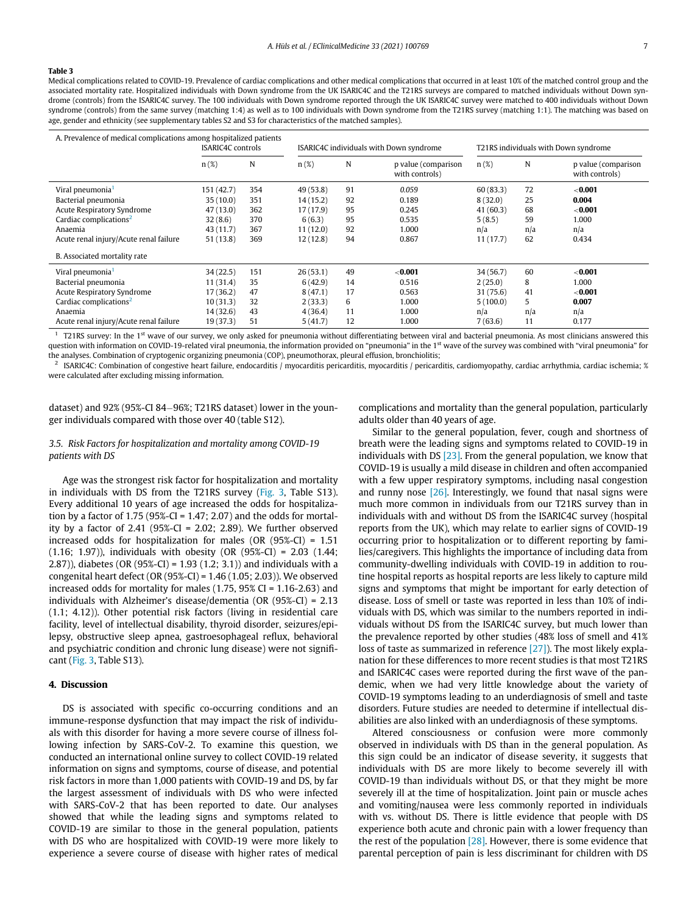## Table 3

Medical complications related to COVID-19. Prevalence of cardiac complications and other medical complications that occurred in at least 10% of the matched control group and the associated mortality rate. Hospitalized individuals with Down syndrome from the UK ISARIC4C and the T21RS surveys are compared to matched individuals without Down syndrome (controls) from the ISARIC4C survey. The 100 individuals with Down syndrome reported through the UK ISARIC4C survey were matched to 400 individuals without Down syndrome (controls) from the same survey (matching 1:4) as well as to 100 individuals with Down syndrome from the T21RS survey (matching 1:1). The matching was based on age, gender and ethnicity (see supplementary tables S2 and S3 for characteristics of the matched samples).

|                                        | A. Prevalence of medical complications among hospitalized patients<br><b>ISARIC4C</b> controls |     | ISARIC4C individuals with Down syndrome |    |                                       | T21RS individuals with Down syndrome |     |                                       |
|----------------------------------------|------------------------------------------------------------------------------------------------|-----|-----------------------------------------|----|---------------------------------------|--------------------------------------|-----|---------------------------------------|
|                                        | $n(\%)$                                                                                        | N   | $n(\%)$                                 | N  | p value (comparison<br>with controls) | $n(\%)$                              | N   | p value (comparison<br>with controls) |
| Viral pneumonia <sup>1</sup>           | 151 (42.7)                                                                                     | 354 | 49(53.8)                                | 91 | 0.059                                 | 60(83.3)                             | 72  | < 0.001                               |
| Bacterial pneumonia                    | 35(10.0)                                                                                       | 351 | 14(15.2)                                | 92 | 0.189                                 | 8(32.0)                              | 25  | 0.004                                 |
| Acute Respiratory Syndrome             | 47(13.0)                                                                                       | 362 | 17 (17.9)                               | 95 | 0.245                                 | 41 (60.3)                            | 68  | ${<}0.001$                            |
| Cardiac complications <sup>2</sup>     | 32(8.6)                                                                                        | 370 | 6(6.3)                                  | 95 | 0.535                                 | 5(8.5)                               | 59  | 1.000                                 |
| Anaemia                                | 43 (11.7)                                                                                      | 367 | 11(12.0)                                | 92 | 1.000                                 | n/a                                  | n/a | n/a                                   |
| Acute renal injury/Acute renal failure | 51 (13.8)                                                                                      | 369 | 12(12.8)                                | 94 | 0.867                                 | 11(17.7)                             | 62  | 0.434                                 |
| B. Associated mortality rate           |                                                                                                |     |                                         |    |                                       |                                      |     |                                       |
| Viral pneumonia <sup>1</sup>           | 34(22.5)                                                                                       | 151 | 26(53.1)                                | 49 | ${<}0.001$                            | 34 (56.7)                            | 60  | ${<}0.001$                            |
| Bacterial pneumonia                    | 11(31.4)                                                                                       | 35  | 6(42.9)                                 | 14 | 0.516                                 | 2(25.0)                              | 8   | 1.000                                 |
| Acute Respiratory Syndrome             | 17(36.2)                                                                                       | 47  | 8(47.1)                                 | 17 | 0.563                                 | 31 (75.6)                            | 41  | ${<}0.001$                            |
| Cardiac complications <sup>2</sup>     | 10(31.3)                                                                                       | 32  | 2(33.3)                                 | 6  | 1.000                                 | 5(100.0)                             | 5   | 0.007                                 |
| Anaemia                                | 14(32.6)                                                                                       | 43  | 4(36.4)                                 | 11 | 1.000                                 | n/a                                  | n/a | n/a                                   |
| Acute renal injury/Acute renal failure | 19(37.3)                                                                                       | 51  | 5(41.7)                                 | 12 | 1.000                                 | 7(63.6)                              | 11  | 0.177                                 |

 $1$  T21RS survey: In the 1<sup>st</sup> wave of our survey, we only asked for pneumonia without differentiating between viral and bacterial pneumonia. As most clinicians answered this question with information on COVID-19-related viral pneumonia, the information provided on "pneumonia" in the 1<sup>st</sup> wave of the survey was combined with "viral pneumonia" for the analyses. Combination of cryptogenic organizing pneumonia (COP), pneumothorax, pleural effusion, bronchiolitis;

2 ISARIC4C: Combination of congestive heart failure, endocarditis / myocarditis pericarditis, myocarditis / pericarditis, cardiomyopathy, cardiac arrhythmia, cardiac ischemia; % were calculated after excluding missing information.

dataset) and 92% (95%-CI 84-96%; T21RS dataset) lower in the younger individuals compared with those over 40 (table S12).

complications and mortality than the general population, particularly adults older than 40 years of age.

## 3.5. Risk Factors for hospitalization and mortality among COVID-19 patients with DS

Age was the strongest risk factor for hospitalization and mortality in individuals with DS from the T21RS survey (Fig. 3, Table S13). Every additional 10 years of age increased the odds for hospitalization by a factor of  $1.75$  (95%-CI =  $1.47$ ; 2.07) and the odds for mortality by a factor of 2.41 (95%-CI = 2.02; 2.89). We further observed increased odds for hospitalization for males (OR (95%-CI) = 1.51 (1.16; 1.97)), individuals with obesity (OR (95%-CI) = 2.03 (1.44; 2.87)), diabetes (OR (95%-CI) = 1.93 (1.2; 3.1)) and individuals with a congenital heart defect (OR (95%-CI) = 1.46 (1.05; 2.03)). We observed increased odds for mortality for males  $(1.75, 95\% \text{ CI} = 1.16$ -2.63) and individuals with Alzheimer's disease/dementia (OR (95%-CI) = 2.13 (1.1; 4.12)). Other potential risk factors (living in residential care facility, level of intellectual disability, thyroid disorder, seizures/epilepsy, obstructive sleep apnea, gastroesophageal reflux, behavioral and psychiatric condition and chronic lung disease) were not significant (Fig. 3, Table S13).

## 4. Discussion

DS is associated with specific co-occurring conditions and an immune-response dysfunction that may impact the risk of individuals with this disorder for having a more severe course of illness following infection by SARS-CoV-2. To examine this question, we conducted an international online survey to collect COVID-19 related information on signs and symptoms, course of disease, and potential risk factors in more than 1,000 patients with COVID-19 and DS, by far the largest assessment of individuals with DS who were infected with SARS-CoV-2 that has been reported to date. Our analyses showed that while the leading signs and symptoms related to COVID-19 are similar to those in the general population, patients with DS who are hospitalized with COVID-19 were more likely to experience a severe course of disease with higher rates of medical

Similar to the general population, fever, cough and shortness of breath were the leading signs and symptoms related to COVID-19 in individuals with DS [23]. From the general population, we know that COVID-19 is usually a mild disease in children and often accompanied with a few upper respiratory symptoms, including nasal congestion and runny nose  $[26]$ . Interestingly, we found that nasal signs were much more common in individuals from our T21RS survey than in individuals with and without DS from the ISARIC4C survey (hospital reports from the UK), which may relate to earlier signs of COVID-19 occurring prior to hospitalization or to different reporting by families/caregivers. This highlights the importance of including data from community-dwelling individuals with COVID-19 in addition to routine hospital reports as hospital reports are less likely to capture mild signs and symptoms that might be important for early detection of disease. Loss of smell or taste was reported in less than 10% of individuals with DS, which was similar to the numbers reported in individuals without DS from the ISARIC4C survey, but much lower than the prevalence reported by other studies (48% loss of smell and 41% loss of taste as summarized in reference [27]). The most likely explanation for these differences to more recent studies is that most T21RS and ISARIC4C cases were reported during the first wave of the pandemic, when we had very little knowledge about the variety of COVID-19 symptoms leading to an underdiagnosis of smell and taste disorders. Future studies are needed to determine if intellectual disabilities are also linked with an underdiagnosis of these symptoms.

Altered consciousness or confusion were more commonly observed in individuals with DS than in the general population. As this sign could be an indicator of disease severity, it suggests that individuals with DS are more likely to become severely ill with COVID-19 than individuals without DS, or that they might be more severely ill at the time of hospitalization. Joint pain or muscle aches and vomiting/nausea were less commonly reported in individuals with vs. without DS. There is little evidence that people with DS experience both acute and chronic pain with a lower frequency than the rest of the population [28]. However, there is some evidence that parental perception of pain is less discriminant for children with DS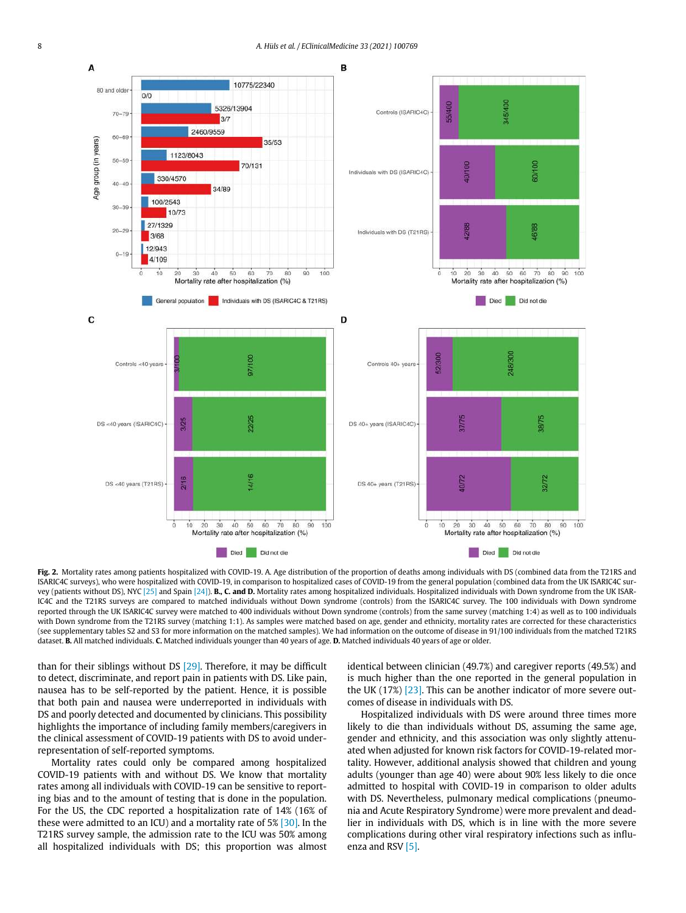

Fig. 2. Mortality rates among patients hospitalized with COVID-19. A. Age distribution of the proportion of deaths among individuals with DS (combined data from the T21RS and ISARIC4C surveys), who were hospitalized with COVID-19, in comparison to hospitalized cases of COVID-19 from the general population (combined data from the UK ISARIC4C survey (patients without DS), NYC [25] and Spain [24]). B., C. and D. Mortality rates among hospitalized individuals. Hospitalized individuals with Down syndrome from the UK ISAR-IC4C and the T21RS surveys are compared to matched individuals without Down syndrome (controls) from the ISARIC4C survey. The 100 individuals with Down syndrome reported through the UK ISARIC4C survey were matched to 400 individuals without Down syndrome (controls) from the same survey (matching 1:4) as well as to 100 individuals with Down syndrome from the T21RS survey (matching 1:1). As samples were matched based on age, gender and ethnicity, mortality rates are corrected for these characteristics (see supplementary tables S2 and S3 for more information on the matched samples). We had information on the outcome of disease in 91/100 individuals from the matched T21RS dataset. B. All matched individuals. C. Matched individuals younger than 40 years of age. D. Matched individuals 40 years of age or older.

than for their siblings without DS [29]. Therefore, it may be difficult to detect, discriminate, and report pain in patients with DS. Like pain, nausea has to be self-reported by the patient. Hence, it is possible that both pain and nausea were underreported in individuals with DS and poorly detected and documented by clinicians. This possibility highlights the importance of including family members/caregivers in the clinical assessment of COVID-19 patients with DS to avoid underrepresentation of self-reported symptoms.

Mortality rates could only be compared among hospitalized COVID-19 patients with and without DS. We know that mortality rates among all individuals with COVID-19 can be sensitive to reporting bias and to the amount of testing that is done in the population. For the US, the CDC reported a hospitalization rate of 14% (16% of these were admitted to an ICU) and a mortality rate of 5% [30]. In the T21RS survey sample, the admission rate to the ICU was 50% among all hospitalized individuals with DS; this proportion was almost identical between clinician (49.7%) and caregiver reports (49.5%) and is much higher than the one reported in the general population in the UK  $(17%)$  [23]. This can be another indicator of more severe outcomes of disease in individuals with DS.

Hospitalized individuals with DS were around three times more likely to die than individuals without DS, assuming the same age, gender and ethnicity, and this association was only slightly attenuated when adjusted for known risk factors for COVID-19-related mortality. However, additional analysis showed that children and young adults (younger than age 40) were about 90% less likely to die once admitted to hospital with COVID-19 in comparison to older adults with DS. Nevertheless, pulmonary medical complications (pneumonia and Acute Respiratory Syndrome) were more prevalent and deadlier in individuals with DS, which is in line with the more severe complications during other viral respiratory infections such as influenza and RSV [5].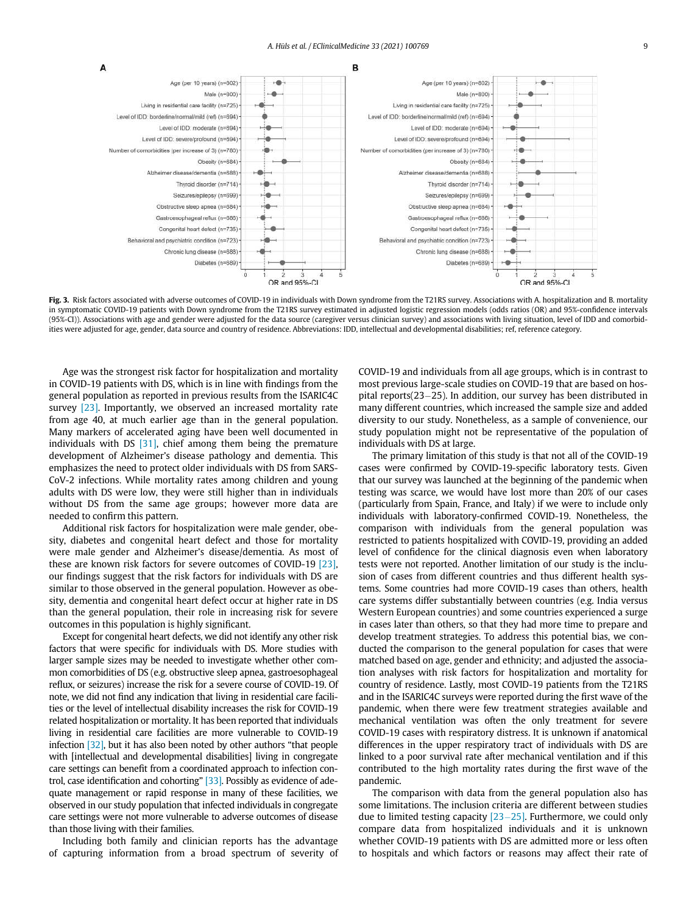

Fig. 3. Risk factors associated with adverse outcomes of COVID-19 in individuals with Down syndrome from the T21RS survey. Associations with A. hospitalization and B. mortality in symptomatic COVID-19 patients with Down syndrome from the T21RS survey estimated in adjusted logistic regression models (odds ratios (OR) and 95%-confidence intervals (95%-CI)). Associations with age and gender were adjusted for the data source (caregiver versus clinician survey) and associations with living situation, level of IDD and comorbidities were adjusted for age, gender, data source and country of residence. Abbreviations: IDD, intellectual and developmental disabilities; ref, reference category.

Age was the strongest risk factor for hospitalization and mortality in COVID-19 patients with DS, which is in line with findings from the general population as reported in previous results from the ISARIC4C survey [23]. Importantly, we observed an increased mortality rate from age 40, at much earlier age than in the general population. Many markers of accelerated aging have been well documented in individuals with DS [31], chief among them being the premature development of Alzheimer's disease pathology and dementia. This emphasizes the need to protect older individuals with DS from SARS-CoV-2 infections. While mortality rates among children and young adults with DS were low, they were still higher than in individuals without DS from the same age groups; however more data are needed to confirm this pattern.

Additional risk factors for hospitalization were male gender, obesity, diabetes and congenital heart defect and those for mortality were male gender and Alzheimer's disease/dementia. As most of these are known risk factors for severe outcomes of COVID-19 [23], our findings suggest that the risk factors for individuals with DS are similar to those observed in the general population. However as obesity, dementia and congenital heart defect occur at higher rate in DS than the general population, their role in increasing risk for severe outcomes in this population is highly significant.

Except for congenital heart defects, we did not identify any other risk factors that were specific for individuals with DS. More studies with larger sample sizes may be needed to investigate whether other common comorbidities of DS (e.g. obstructive sleep apnea, gastroesophageal reflux, or seizures) increase the risk for a severe course of COVID-19. Of note, we did not find any indication that living in residential care facilities or the level of intellectual disability increases the risk for COVID-19 related hospitalization or mortality. It has been reported that individuals living in residential care facilities are more vulnerable to COVID-19 infection [32], but it has also been noted by other authors "that people with [intellectual and developmental disabilities] living in congregate care settings can benefit from a coordinated approach to infection control, case identification and cohorting" [33]. Possibly as evidence of adequate management or rapid response in many of these facilities, we observed in our study population that infected individuals in congregate care settings were not more vulnerable to adverse outcomes of disease than those living with their families.

Including both family and clinician reports has the advantage of capturing information from a broad spectrum of severity of COVID-19 and individuals from all age groups, which is in contrast to most previous large-scale studies on COVID-19 that are based on hospital reports( $23-25$ ). In addition, our survey has been distributed in many different countries, which increased the sample size and added diversity to our study. Nonetheless, as a sample of convenience, our study population might not be representative of the population of individuals with DS at large.

The primary limitation of this study is that not all of the COVID-19 cases were confirmed by COVID-19-specific laboratory tests. Given that our survey was launched at the beginning of the pandemic when testing was scarce, we would have lost more than 20% of our cases (particularly from Spain, France, and Italy) if we were to include only individuals with laboratory-confirmed COVID-19. Nonetheless, the comparison with individuals from the general population was restricted to patients hospitalized with COVID-19, providing an added level of confidence for the clinical diagnosis even when laboratory tests were not reported. Another limitation of our study is the inclusion of cases from different countries and thus different health systems. Some countries had more COVID-19 cases than others, health care systems differ substantially between countries (e.g. India versus Western European countries) and some countries experienced a surge in cases later than others, so that they had more time to prepare and develop treatment strategies. To address this potential bias, we conducted the comparison to the general population for cases that were matched based on age, gender and ethnicity; and adjusted the association analyses with risk factors for hospitalization and mortality for country of residence. Lastly, most COVID-19 patients from the T21RS and in the ISARIC4C surveys were reported during the first wave of the pandemic, when there were few treatment strategies available and mechanical ventilation was often the only treatment for severe COVID-19 cases with respiratory distress. It is unknown if anatomical differences in the upper respiratory tract of individuals with DS are linked to a poor survival rate after mechanical ventilation and if this contributed to the high mortality rates during the first wave of the pandemic.

The comparison with data from the general population also has some limitations. The inclusion criteria are different between studies due to limited testing capacity  $[23-25]$ . Furthermore, we could only compare data from hospitalized individuals and it is unknown whether COVID-19 patients with DS are admitted more or less often to hospitals and which factors or reasons may affect their rate of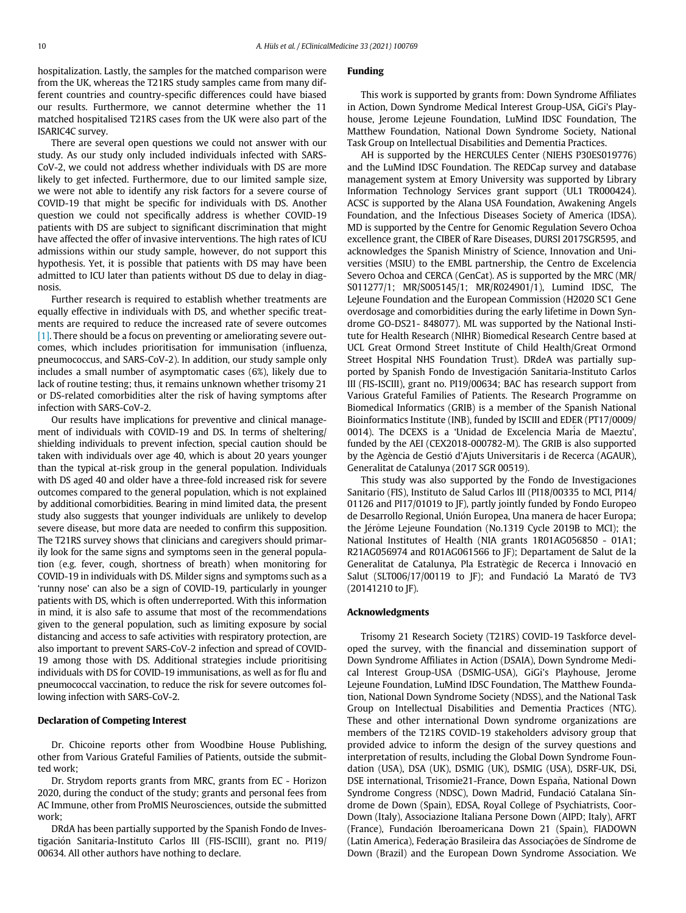hospitalization. Lastly, the samples for the matched comparison were from the UK, whereas the T21RS study samples came from many different countries and country-specific differences could have biased our results. Furthermore, we cannot determine whether the 11 matched hospitalised T21RS cases from the UK were also part of the ISARIC4C survey.

There are several open questions we could not answer with our study. As our study only included individuals infected with SARS-CoV-2, we could not address whether individuals with DS are more likely to get infected. Furthermore, due to our limited sample size, we were not able to identify any risk factors for a severe course of COVID-19 that might be specific for individuals with DS. Another question we could not specifically address is whether COVID-19 patients with DS are subject to significant discrimination that might have affected the offer of invasive interventions. The high rates of ICU admissions within our study sample, however, do not support this hypothesis. Yet, it is possible that patients with DS may have been admitted to ICU later than patients without DS due to delay in diagnosis.

Further research is required to establish whether treatments are equally effective in individuals with DS, and whether specific treatments are required to reduce the increased rate of severe outcomes [1]. There should be a focus on preventing or ameliorating severe outcomes, which includes prioritisation for immunisation (influenza, pneumococcus, and SARS-CoV-2). In addition, our study sample only includes a small number of asymptomatic cases (6%), likely due to lack of routine testing; thus, it remains unknown whether trisomy 21 or DS-related comorbidities alter the risk of having symptoms after infection with SARS-CoV-2.

Our results have implications for preventive and clinical management of individuals with COVID-19 and DS. In terms of sheltering/ shielding individuals to prevent infection, special caution should be taken with individuals over age 40, which is about 20 years younger than the typical at-risk group in the general population. Individuals with DS aged 40 and older have a three-fold increased risk for severe outcomes compared to the general population, which is not explained by additional comorbidities. Bearing in mind limited data, the present study also suggests that younger individuals are unlikely to develop severe disease, but more data are needed to confirm this supposition. The T21RS survey shows that clinicians and caregivers should primarily look for the same signs and symptoms seen in the general population (e.g. fever, cough, shortness of breath) when monitoring for COVID-19 in individuals with DS. Milder signs and symptoms such as a 'runny nose' can also be a sign of COVID-19, particularly in younger patients with DS, which is often underreported. With this information in mind, it is also safe to assume that most of the recommendations given to the general population, such as limiting exposure by social distancing and access to safe activities with respiratory protection, are also important to prevent SARS-CoV-2 infection and spread of COVID-19 among those with DS. Additional strategies include prioritising individuals with DS for COVID-19 immunisations, as well as for flu and pneumococcal vaccination, to reduce the risk for severe outcomes following infection with SARS-CoV-2.

## Declaration of Competing Interest

Dr. Chicoine reports other from Woodbine House Publishing, other from Various Grateful Families of Patients, outside the submitted work;

Dr. Strydom reports grants from MRC, grants from EC - Horizon 2020, during the conduct of the study; grants and personal fees from AC Immune, other from ProMIS Neurosciences, outside the submitted work;

DRdA has been partially supported by the Spanish Fondo de Investigación Sanitaria-Instituto Carlos III (FIS-ISCIII), grant no. PI19/ 00634. All other authors have nothing to declare.

## Funding

This work is supported by grants from: Down Syndrome Affiliates in Action, Down Syndrome Medical Interest Group-USA, GiGi's Playhouse, Jerome Lejeune Foundation, LuMind IDSC Foundation, The Matthew Foundation, National Down Syndrome Society, National Task Group on Intellectual Disabilities and Dementia Practices.

AH is supported by the HERCULES Center (NIEHS P30ES019776) and the LuMind IDSC Foundation. The REDCap survey and database management system at Emory University was supported by Library Information Technology Services grant support (UL1 TR000424). ACSC is supported by the Alana USA Foundation, Awakening Angels Foundation, and the Infectious Diseases Society of America (IDSA). MD is supported by the Centre for Genomic Regulation Severo Ochoa excellence grant, the CIBER of Rare Diseases, DURSI 2017SGR595, and acknowledges the Spanish Ministry of Science, Innovation and Universities (MSIU) to the EMBL partnership, the Centro de Excelencia Severo Ochoa and CERCA (GenCat). AS is supported by the MRC (MR/ S011277/1; MR/S005145/1; MR/R024901/1), Lumind IDSC, The LeJeune Foundation and the European Commission (H2020 SC1 Gene overdosage and comorbidities during the early lifetime in Down Syndrome GO-DS21- 848077). ML was supported by the National Institute for Health Research (NIHR) Biomedical Research Centre based at UCL Great Ormond Street Institute of Child Health/Great Ormond Street Hospital NHS Foundation Trust). DRdeA was partially supported by Spanish Fondo de Investigación Sanitaria-Instituto Carlos III (FIS-ISCIII), grant no. PI19/00634; BAC has research support from Various Grateful Families of Patients. The Research Programme on Biomedical Informatics (GRIB) is a member of the Spanish National Bioinformatics Institute (INB), funded by ISCIII and EDER (PT17/0009/ 0014). The DCEXS is a 'Unidad de Excelencia María de Maeztu', funded by the AEI (CEX2018-000782-M). The GRIB is also supported by the Agència de Gestió d'Ajuts Universitaris i de Recerca (AGAUR), Generalitat de Catalunya (2017 SGR 00519).

This study was also supported by the Fondo de Investigaciones Sanitario (FIS), Instituto de Salud Carlos III (PI18/00335 to MCI, PI14/ 01126 and PI17/01019 to JF), partly jointly funded by Fondo Europeo de Desarrollo Regional, Unión Europea, Una manera de hacer Europa; the Jérôme Lejeune Foundation (No.1319 Cycle 2019B to MCI); the National Institutes of Health (NIA grants 1R01AG056850 - 01A1; R21AG056974 and R01AG061566 to JF); Departament de Salut de la Generalitat de Catalunya, Pla Estratègic de Recerca i Innovació en Salut (SLT006/17/00119 to JF); and Fundació La Marató de TV3 (20141210 to JF).

## Acknowledgments

Trisomy 21 Research Society (T21RS) COVID-19 Taskforce developed the survey, with the financial and dissemination support of Down Syndrome Affiliates in Action (DSAIA), Down Syndrome Medical Interest Group-USA (DSMIG-USA), GiGi's Playhouse, Jerome Lejeune Foundation, LuMind IDSC Foundation, The Matthew Foundation, National Down Syndrome Society (NDSS), and the National Task Group on Intellectual Disabilities and Dementia Practices (NTG). These and other international Down syndrome organizations are members of the T21RS COVID-19 stakeholders advisory group that provided advice to inform the design of the survey questions and interpretation of results, including the Global Down Syndrome Foundation (USA), DSA (UK), DSMIG (UK), DSMIG (USA), DSRF-UK, DSi, DSE international, Trisomie21-France, Down Espana, National Down ~ Syndrome Congress (NDSC), Down Madrid, Fundació Catalana Síndrome de Down (Spain), EDSA, Royal College of Psychiatrists, Coor-Down (Italy), Associazione Italiana Persone Down (AIPD; Italy), AFRT (France), Fundación Iberoamericana Down 21 (Spain), FIADOWN (Latin America), Federação Brasileira das Associações de Síndrome de Down (Brazil) and the European Down Syndrome Association. We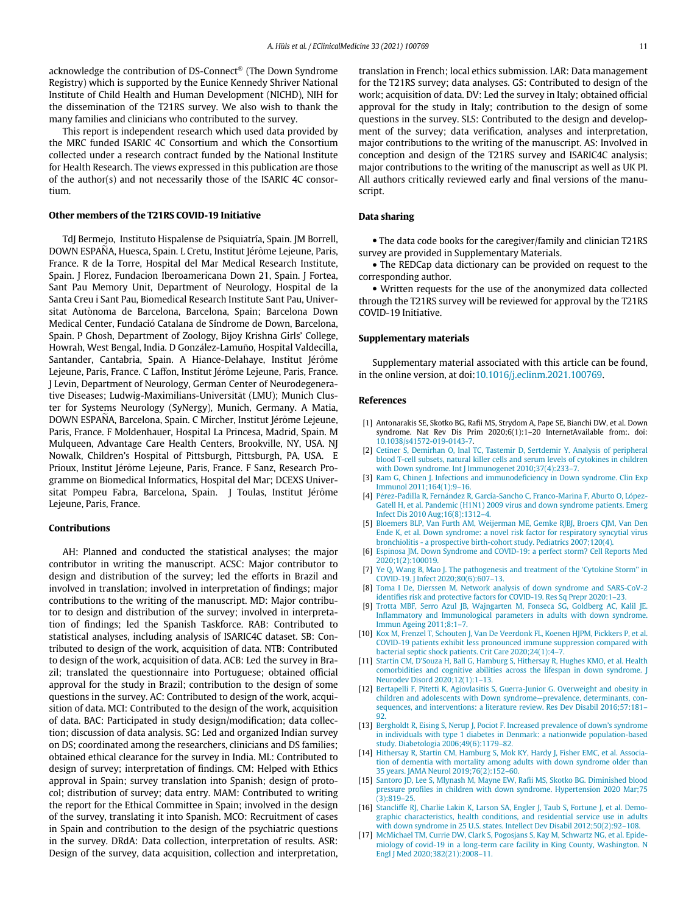acknowledge the contribution of DS-Connect<sup>®</sup> (The Down Syndrome Registry) which is supported by the Eunice Kennedy Shriver National Institute of Child Health and Human Development (NICHD), NIH for the dissemination of the T21RS survey. We also wish to thank the many families and clinicians who contributed to the survey.

This report is independent research which used data provided by the MRC funded ISARIC 4C Consortium and which the Consortium collected under a research contract funded by the National Institute for Health Research. The views expressed in this publication are those of the author(s) and not necessarily those of the ISARIC 4C consortium.

## Other members of the T21RS COVID-19 Initiative

TdJ Bermejo, Instituto Hispalense de Psiquiatría, Spain. JM Borrell, DOWN ESPAÑA, Huesca, Spain. L Cretu, Institut Jérôme Lejeune, Paris, France. R de la Torre, Hospital del Mar Medical Research Institute, Spain. J Florez, Fundacion Iberoamericana Down 21, Spain. J Fortea, Sant Pau Memory Unit, Department of Neurology, Hospital de la Santa Creu i Sant Pau, Biomedical Research Institute Sant Pau, Universitat Autònoma de Barcelona, Barcelona, Spain; Barcelona Down Medical Center, Fundacio Catalana de Síndrome de Down, Barcelona, - Spain. P Ghosh, Department of Zoology, Bijoy Krishna Girls' College, .<br>Howrah, West Bengal, India. D González-Lamuño, Hospital Valdecilla, Santander, Cantabria, Spain. A Hiance-Delahaye, Institut Jérôme Lejeune, Paris, France. C Laffon, Institut Jérôme Lejeune, Paris, France. J Levin, Department of Neurology, German Center of Neurodegenerative Diseases; Ludwig-Maximilians-Universität (LMU); Munich Cluster for Systems Neurology (SyNergy), Munich, Germany. A Matia, DOWN ESPAÑA, Barcelona, Spain. C Mircher, Institut Jérôme Lejeune, Paris, France. F Moldenhauer, Hospital La Princesa, Madrid, Spain. M Mulqueen, Advantage Care Health Centers, Brookville, NY, USA. NJ Nowalk, Children's Hospital of Pittsburgh, Pittsburgh, PA, USA. E Prioux, Institut Jérôme Lejeune, Paris, France. F Sanz, Research Programme on Biomedical Informatics, Hospital del Mar; DCEXS Universitat Pompeu Fabra, Barcelona, Spain. J Toulas, Institut Jérôme Lejeune, Paris, France.

## Contributions

AH: Planned and conducted the statistical analyses; the major contributor in writing the manuscript. ACSC: Major contributor to design and distribution of the survey; led the efforts in Brazil and involved in translation; involved in interpretation of findings; major contributions to the writing of the manuscript. MD: Major contributor to design and distribution of the survey; involved in interpretation of findings; led the Spanish Taskforce. RAB: Contributed to statistical analyses, including analysis of ISARIC4C dataset. SB: Contributed to design of the work, acquisition of data. NTB: Contributed to design of the work, acquisition of data. ACB: Led the survey in Brazil; translated the questionnaire into Portuguese; obtained official approval for the study in Brazil; contribution to the design of some questions in the survey. AC: Contributed to design of the work, acquisition of data. MCI: Contributed to the design of the work, acquisition of data. BAC: Participated in study design/modification; data collection; discussion of data analysis. SG: Led and organized Indian survey on DS; coordinated among the researchers, clinicians and DS families; obtained ethical clearance for the survey in India. ML: Contributed to design of survey; interpretation of findings. CM: Helped with Ethics approval in Spain; survey translation into Spanish; design of protocol; distribution of survey; data entry. MAM: Contributed to writing the report for the Ethical Committee in Spain; involved in the design of the survey, translating it into Spanish. MCO: Recruitment of cases in Spain and contribution to the design of the psychiatric questions in the survey. DRdA: Data collection, interpretation of results. ASR: Design of the survey, data acquisition, collection and interpretation, translation in French; local ethics submission. LAR: Data management for the T21RS survey; data analyses. GS: Contributed to design of the work; acquisition of data. DV: Led the survey in Italy; obtained official approval for the study in Italy; contribution to the design of some questions in the survey. SLS: Contributed to the design and development of the survey; data verification, analyses and interpretation, major contributions to the writing of the manuscript. AS: Involved in conception and design of the T21RS survey and ISARIC4C analysis; major contributions to the writing of the manuscript as well as UK PI. All authors critically reviewed early and final versions of the manuscript.

## Data sharing

 The data code books for the caregiver/family and clinician T21RS survey are provided in Supplementary Materials.

 The REDCap data dictionary can be provided on request to the corresponding author.

 Written requests for the use of the anonymized data collected through the T21RS survey will be reviewed for approval by the T21RS COVID-19 Initiative.

#### Supplementary materials

Supplementary material associated with this article can be found, in the online version, at doi:10.1016/j.eclinm.2021.100769.

## References

- [1] Antonarakis SE, Skotko BG, Rafii MS, Strydom A, Pape SE, Bianchi DW, et al. Down syndrome. Nat Rev Dis Prim 2020;6(1):1–20 InternetAvailable from:. doi: 10.1038/s41572-019-0143-7.
- [2] Cetiner S, Demirhan O, Inal TC, Tastemir D, Sertdemir Y. Analysis of peripheral blood T-cell subsets, natural killer cells and serum levels of cytokines in children with Down syndrome. Int J Immunogenet 2010;37(4):233-7
- [3] Ram G, Chinen J. Infections and immunodeficiency in Down syndrome. Clin Exp Immunol 2011;164(1):9–16.
- [4] Pérez-Padilla R, Fernández R, García-Sancho C, Franco-Marina F, Aburto O, López-Gatell H, et al. Pandemic (H1N1) 2009 virus and down syndrome patients. Emerg Infect Dis 2010 Aug;16(8):1312–4.
- [5] Bloemers BLP, Van Furth AM, Weijerman ME, Gemke RJBJ, Broers CJM, Van Den Ende K, et al. Down syndrome: a novel risk factor for respiratory syncytial virus bronchiolitis - a prospective birth-cohort study. Pediatrics 2007;120(4).
- [6] Espinosa JM. Down Syndrome and COVID-19: a perfect storm? Cell Reports Med 2020;1(2):100019.
- [7] Ye Q, Wang B, Mao J. The pathogenesis and treatment of the 'Cytokine Storm'' in COVID-19. J Infect 2020;80(6):607–13.
- [8] Toma I De, Dierssen M. Network analysis of down syndrome and SARS-CoV-2 identifies risk and protective factors for COVID-19. Res Sq Prepr 2020:1–23.
- [9] Trotta MBF, Serro Azul JB, Wajngarten M, Fonseca SG, Goldberg AC, Kalil JE. Inflammatory and Immunological parameters in adults with down syndrome. Immun Ageing 2011;8:1–7.
- [10] Kox M, Frenzel T, Schouten J, Van De Veerdonk FL, Koenen HJPM, Pickkers P, et al. COVID-19 patients exhibit less pronounced immune suppression compared with bacterial septic shock patients. Crit Care 2020;24(1):4-
- [11] Startin CM, D'Souza H, Ball G, Hamburg S, Hithersay R, Hughes KMO, et al. Health comorbidities and cognitive abilities across the lifespan in down syndrome. J Neurodev Disord 2020;12(1):1–13.
- [12] Bertapelli F, Pitetti K, Agiovlasitis S, Guerra-Junior G. Overweight and obesity in children and adolescents with Down syndrome—prevalence, determinants, consequences, and interventions: a literature review. Res Dev Disabil 2016;57:181– 92.
- [13] Bergholdt R, Eising S, Nerup J, Pociot F. Increased prevalence of down's syndrome in individuals with type 1 diabetes in Denmark: a nationwide population-based study. Diabetologia 2006;49(6):1179–82.
- [14] Hithersay R, Startin CM, Hamburg S, Mok KY, Hardy J, Fisher EMC, et al. Association of dementia with mortality among adults with down syndrome older than 35 years. JAMA Neurol 2019;76(2):152–60.
- [15] Santoro JD, Lee S, Mlynash M, Mayne EW, Rafii MS, Skotko BG. Diminished blood pressure profiles in children with down syndrome. Hypertension 2020 Mar;75 (3):819–25.
- [16] Stancliffe RJ, Charlie Lakin K, Larson SA, Engler J, Taub S, Fortune J, et al. Demographic characteristics, health conditions, and residential service use in adults with down syndrome in 25 U.S. states. Intellect Dev Disabil 2012;50(2):92–108.
- [17] McMichael TM, Currie DW, Clark S, Pogosjans S, Kay M, Schwartz NG, et al. Epidemiology of covid-19 in a long-term care facility in King County, Washington. N Engl J Med 2020;382(21):2008–11.